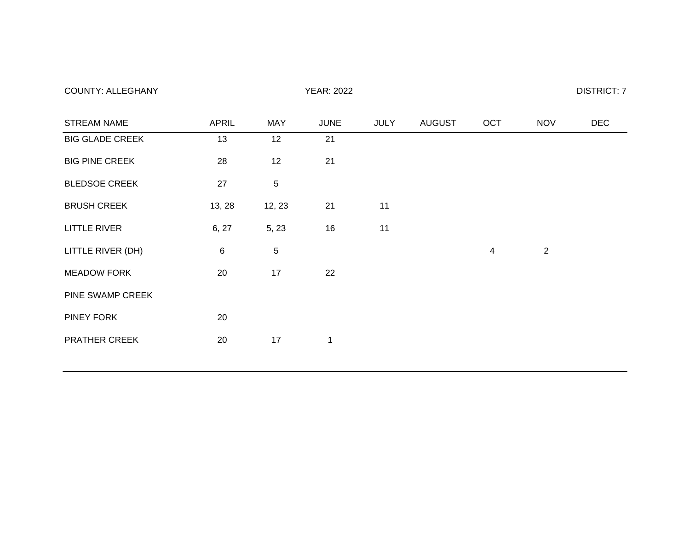| <b>STREAM NAME</b>     | <b>APRIL</b>    | <b>MAY</b> | <b>JUNE</b>  | JULY | <b>AUGUST</b> | OCT | <b>NOV</b> | <b>DEC</b> |
|------------------------|-----------------|------------|--------------|------|---------------|-----|------------|------------|
| <b>BIG GLADE CREEK</b> | 13              | 12         | 21           |      |               |     |            |            |
| <b>BIG PINE CREEK</b>  | 28              | 12         | 21           |      |               |     |            |            |
| <b>BLEDSOE CREEK</b>   | 27              | 5          |              |      |               |     |            |            |
| <b>BRUSH CREEK</b>     | 13, 28          | 12, 23     | 21           | 11   |               |     |            |            |
| <b>LITTLE RIVER</b>    | 6, 27           | 5, 23      | 16           | 11   |               |     |            |            |
| LITTLE RIVER (DH)      | $6\phantom{1}6$ | 5          |              |      |               | 4   | 2          |            |
| <b>MEADOW FORK</b>     | 20              | 17         | 22           |      |               |     |            |            |
| PINE SWAMP CREEK       |                 |            |              |      |               |     |            |            |
| <b>PINEY FORK</b>      | 20              |            |              |      |               |     |            |            |
| <b>PRATHER CREEK</b>   | 20              | 17         | $\mathbf{1}$ |      |               |     |            |            |
|                        |                 |            |              |      |               |     |            |            |

COUNTY: ALLEGHANY COUNTY: ALLEGHANY COUNTY: ALLEGHANY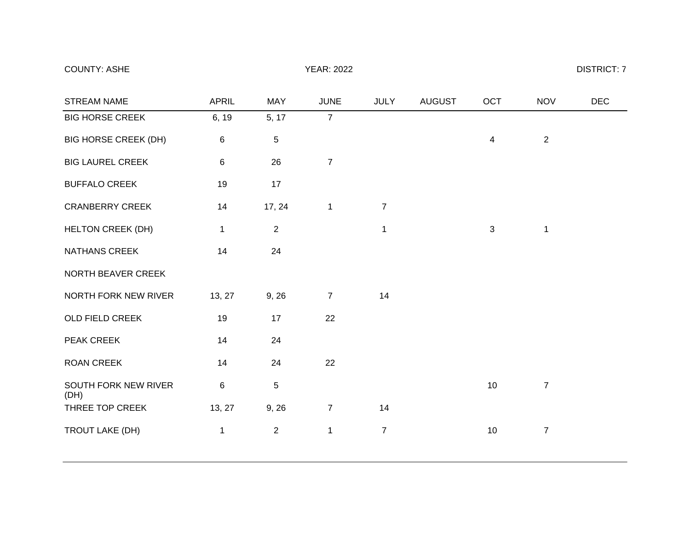# COUNTY: ASHE DISTRICT: 7

| <b>STREAM NAME</b>           | <b>APRIL</b> | <b>MAY</b>     | <b>JUNE</b>    | <b>JULY</b>    | <b>AUGUST</b> | OCT            | <b>NOV</b>     | <b>DEC</b> |
|------------------------------|--------------|----------------|----------------|----------------|---------------|----------------|----------------|------------|
| <b>BIG HORSE CREEK</b>       | 6, 19        | 5, 17          | $\overline{7}$ |                |               |                |                |            |
| <b>BIG HORSE CREEK (DH)</b>  | 6            | 5              |                |                |               | $\overline{4}$ | $\sqrt{2}$     |            |
| <b>BIG LAUREL CREEK</b>      | 6            | 26             | $\overline{7}$ |                |               |                |                |            |
| <b>BUFFALO CREEK</b>         | 19           | 17             |                |                |               |                |                |            |
| <b>CRANBERRY CREEK</b>       | 14           | 17, 24         | $\mathbf{1}$   | $\overline{7}$ |               |                |                |            |
| <b>HELTON CREEK (DH)</b>     | 1            | $\overline{2}$ |                | $\mathbf 1$    |               | 3              | $\mathbf 1$    |            |
| NATHANS CREEK                | 14           | 24             |                |                |               |                |                |            |
| NORTH BEAVER CREEK           |              |                |                |                |               |                |                |            |
| NORTH FORK NEW RIVER         | 13, 27       | 9, 26          | $\overline{7}$ | 14             |               |                |                |            |
| OLD FIELD CREEK              | 19           | 17             | 22             |                |               |                |                |            |
| PEAK CREEK                   | 14           | 24             |                |                |               |                |                |            |
| <b>ROAN CREEK</b>            | 14           | 24             | 22             |                |               |                |                |            |
| SOUTH FORK NEW RIVER<br>(DH) | 6            | $\mathbf 5$    |                |                |               | 10             | $\overline{7}$ |            |
| THREE TOP CREEK              | 13, 27       | 9, 26          | $\overline{7}$ | 14             |               |                |                |            |
| TROUT LAKE (DH)              | 1            | $\overline{2}$ | $\mathbf{1}$   | $\overline{7}$ |               | 10             | $\overline{7}$ |            |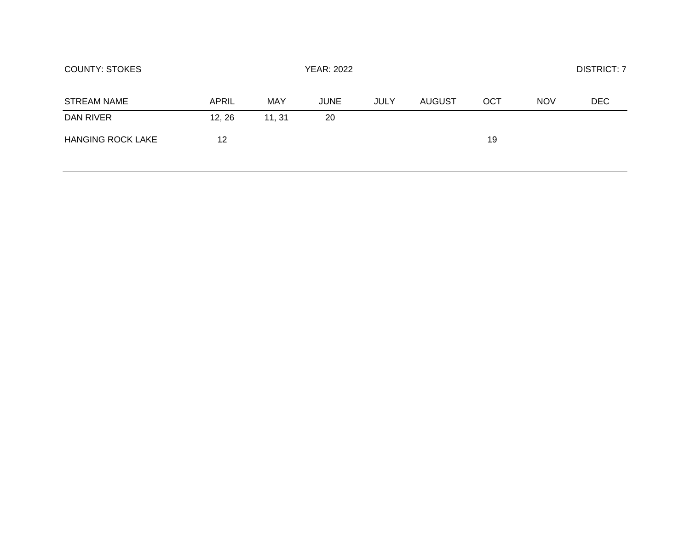| <b>COUNTY: STOKES</b>    |        |        |             | <b>DISTRICT: 7</b> |        |     |            |     |
|--------------------------|--------|--------|-------------|--------------------|--------|-----|------------|-----|
| <b>STREAM NAME</b>       | APRIL  | MAY    | <b>JUNE</b> | <b>JULY</b>        | AUGUST | OCT | <b>NOV</b> | DEC |
| DAN RIVER                | 12, 26 | 11, 31 | 20          |                    |        |     |            |     |
| <b>HANGING ROCK LAKE</b> | 12     |        |             |                    |        | 19  |            |     |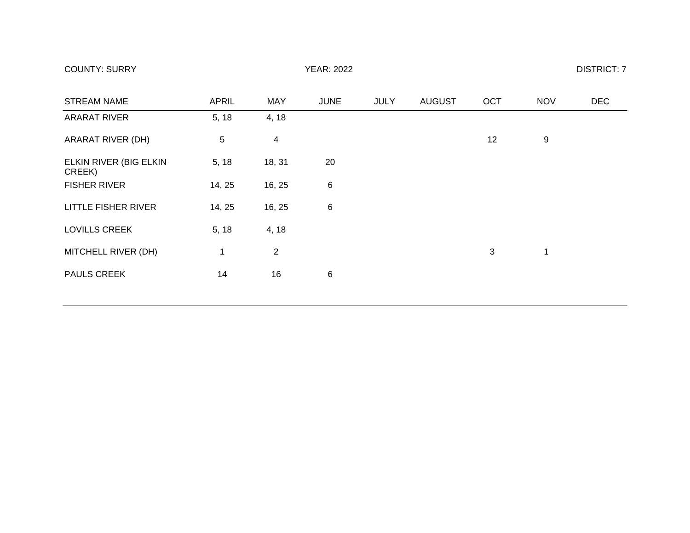| <b>COUNTY: SURRY</b> | <b>YEAR: 2022</b> | <b>DISTRICT: 7</b> |
|----------------------|-------------------|--------------------|
|----------------------|-------------------|--------------------|

| <b>STREAM NAME</b>               | <b>APRIL</b> | <b>MAY</b>               | <b>JUNE</b> | <b>JULY</b> | <b>AUGUST</b> | OCT | <b>NOV</b> | <b>DEC</b> |
|----------------------------------|--------------|--------------------------|-------------|-------------|---------------|-----|------------|------------|
| <b>ARARAT RIVER</b>              | 5, 18        | 4, 18                    |             |             |               |     |            |            |
| ARARAT RIVER (DH)                | 5            | $\overline{\mathcal{A}}$ |             |             |               | 12  | 9          |            |
| ELKIN RIVER (BIG ELKIN<br>CREEK) | 5, 18        | 18, 31                   | 20          |             |               |     |            |            |
| <b>FISHER RIVER</b>              | 14, 25       | 16, 25                   | $\,6$       |             |               |     |            |            |
| LITTLE FISHER RIVER              | 14, 25       | 16, 25                   | 6           |             |               |     |            |            |
| LOVILLS CREEK                    | 5, 18        | 4, 18                    |             |             |               |     |            |            |
| MITCHELL RIVER (DH)              | 1            | $\overline{2}$           |             |             |               | 3   | 1          |            |
| <b>PAULS CREEK</b>               | 14           | 16                       | 6           |             |               |     |            |            |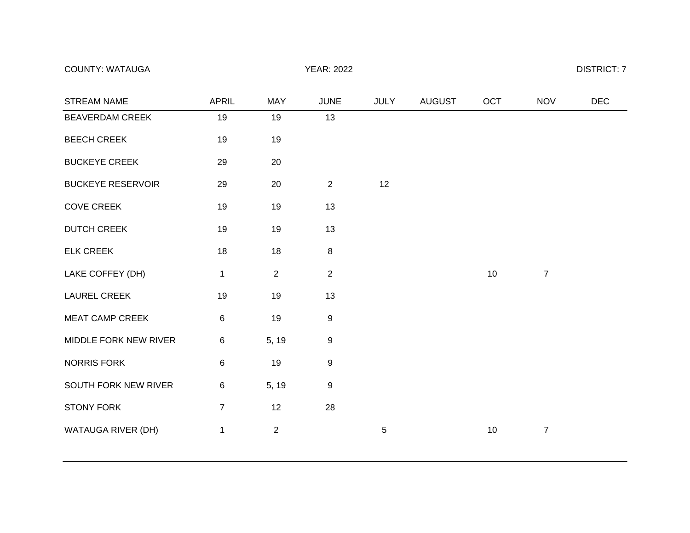COUNTY: WATAUGA DISTRICT: 7

| STREAM NAME              | <b>APRIL</b>   | <b>MAY</b>     | <b>JUNE</b>      | <b>JULY</b> | <b>AUGUST</b> | OCT | <b>NOV</b>     | <b>DEC</b> |
|--------------------------|----------------|----------------|------------------|-------------|---------------|-----|----------------|------------|
| BEAVERDAM CREEK          | 19             | 19             | 13               |             |               |     |                |            |
| <b>BEECH CREEK</b>       | 19             | 19             |                  |             |               |     |                |            |
| <b>BUCKEYE CREEK</b>     | 29             | 20             |                  |             |               |     |                |            |
| <b>BUCKEYE RESERVOIR</b> | 29             | 20             | 2                | 12          |               |     |                |            |
| <b>COVE CREEK</b>        | 19             | 19             | 13               |             |               |     |                |            |
| <b>DUTCH CREEK</b>       | 19             | 19             | 13               |             |               |     |                |            |
| <b>ELK CREEK</b>         | 18             | 18             | $\,8\,$          |             |               |     |                |            |
| LAKE COFFEY (DH)         | 1              | $\overline{2}$ | $\sqrt{2}$       |             |               | 10  | $\overline{7}$ |            |
| <b>LAUREL CREEK</b>      | 19             | 19             | 13               |             |               |     |                |            |
| MEAT CAMP CREEK          | 6              | 19             | $\boldsymbol{9}$ |             |               |     |                |            |
| MIDDLE FORK NEW RIVER    | 6              | 5, 19          | $\boldsymbol{9}$ |             |               |     |                |            |
| NORRIS FORK              | 6              | 19             | $\boldsymbol{9}$ |             |               |     |                |            |
| SOUTH FORK NEW RIVER     | $\,6\,$        | 5, 19          | $\boldsymbol{9}$ |             |               |     |                |            |
| <b>STONY FORK</b>        | $\overline{7}$ | 12             | 28               |             |               |     |                |            |
| WATAUGA RIVER (DH)       | 1              | $\overline{2}$ |                  | $\mathbf 5$ |               | 10  | $\overline{7}$ |            |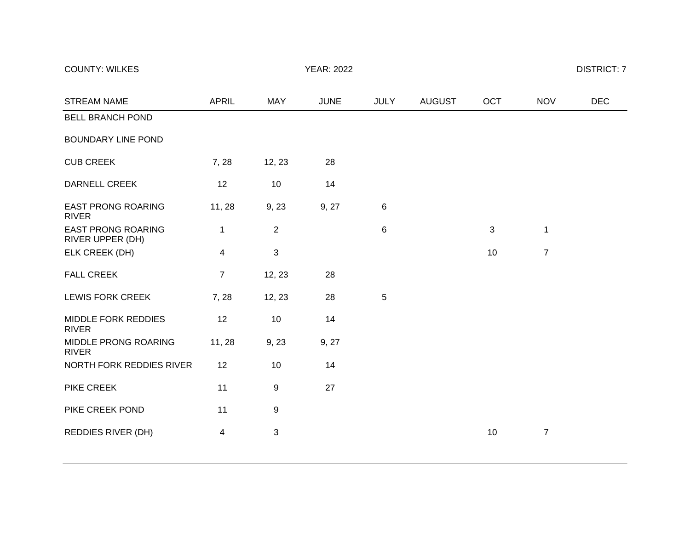## COUNTY: WILKES DISTRICT: 7

| <b>STREAM NAME</b>                            | <b>APRIL</b>   | <b>MAY</b>       | <b>JUNE</b> | <b>JULY</b> | <b>AUGUST</b> | <b>OCT</b> | <b>NOV</b>     | <b>DEC</b> |
|-----------------------------------------------|----------------|------------------|-------------|-------------|---------------|------------|----------------|------------|
| <b>BELL BRANCH POND</b>                       |                |                  |             |             |               |            |                |            |
| <b>BOUNDARY LINE POND</b>                     |                |                  |             |             |               |            |                |            |
| <b>CUB CREEK</b>                              | 7, 28          | 12, 23           | 28          |             |               |            |                |            |
| <b>DARNELL CREEK</b>                          | 12             | 10               | 14          |             |               |            |                |            |
| <b>EAST PRONG ROARING</b><br><b>RIVER</b>     | 11, 28         | 9, 23            | 9, 27       | $\,6$       |               |            |                |            |
| <b>EAST PRONG ROARING</b><br>RIVER UPPER (DH) | 1              | $\overline{2}$   |             | $\,6$       |               | 3          | 1              |            |
| ELK CREEK (DH)                                | 4              | $\mathfrak{S}$   |             |             |               | 10         | $\overline{7}$ |            |
| <b>FALL CREEK</b>                             | $\overline{7}$ | 12, 23           | 28          |             |               |            |                |            |
| LEWIS FORK CREEK                              | 7,28           | 12, 23           | 28          | $\sqrt{5}$  |               |            |                |            |
| MIDDLE FORK REDDIES<br><b>RIVER</b>           | 12             | 10               | 14          |             |               |            |                |            |
| MIDDLE PRONG ROARING<br><b>RIVER</b>          | 11, 28         | 9, 23            | 9, 27       |             |               |            |                |            |
| NORTH FORK REDDIES RIVER                      | 12             | 10               | 14          |             |               |            |                |            |
| <b>PIKE CREEK</b>                             | 11             | $\boldsymbol{9}$ | 27          |             |               |            |                |            |
| PIKE CREEK POND                               | 11             | $\boldsymbol{9}$ |             |             |               |            |                |            |
| REDDIES RIVER (DH)                            | 4              | $\sqrt{3}$       |             |             |               | 10         | $\overline{7}$ |            |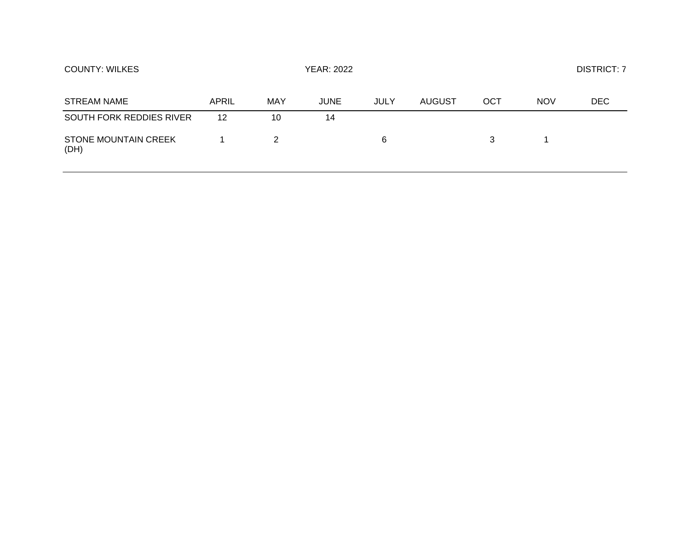| <b>COUNTY: WILKES</b>               |       |     | <b>YEAR: 2022</b> |             | <b>DISTRICT: 7</b> |     |            |     |
|-------------------------------------|-------|-----|-------------------|-------------|--------------------|-----|------------|-----|
| STREAM NAME                         | APRIL | MAY | <b>JUNE</b>       | <b>JULY</b> | <b>AUGUST</b>      | OCT | <b>NOV</b> | DEC |
| SOUTH FORK REDDIES RIVER            | 12    | 10  | 14                |             |                    |     |            |     |
| <b>STONE MOUNTAIN CREEK</b><br>(DH) |       | 2   |                   | 6           |                    | 3   |            |     |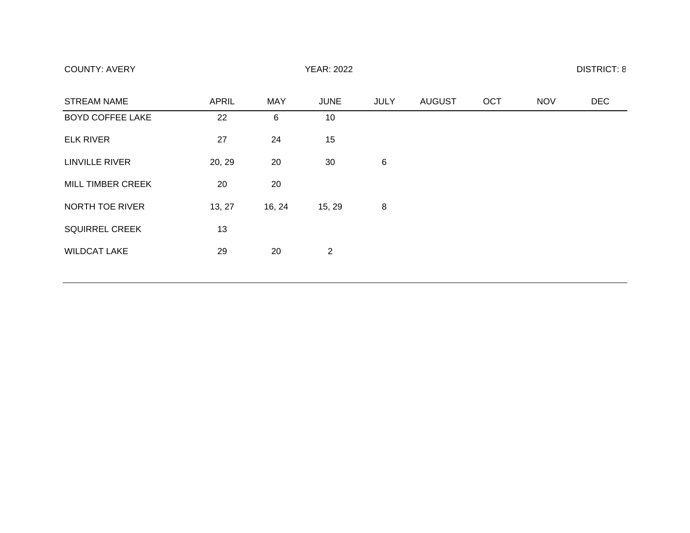| <b>COUNTY: AVERY</b> | <b>YEAR: 2022</b> | <b>DISTRICT: 8</b> |
|----------------------|-------------------|--------------------|
|----------------------|-------------------|--------------------|

| <b>STREAM NAME</b>      | <b>APRIL</b> | <b>MAY</b> | <b>JUNE</b>    | <b>JULY</b> | <b>AUGUST</b> | OCT | <b>NOV</b> | <b>DEC</b> |
|-------------------------|--------------|------------|----------------|-------------|---------------|-----|------------|------------|
| <b>BOYD COFFEE LAKE</b> | 22           | 6          | 10             |             |               |     |            |            |
| <b>ELK RIVER</b>        | 27           | 24         | 15             |             |               |     |            |            |
| <b>LINVILLE RIVER</b>   | 20, 29       | 20         | 30             | $\,6$       |               |     |            |            |
| MILL TIMBER CREEK       | 20           | 20         |                |             |               |     |            |            |
| NORTH TOE RIVER         | 13, 27       | 16, 24     | 15, 29         | 8           |               |     |            |            |
| <b>SQUIRREL CREEK</b>   | 13           |            |                |             |               |     |            |            |
| <b>WILDCAT LAKE</b>     | 29           | 20         | $\overline{2}$ |             |               |     |            |            |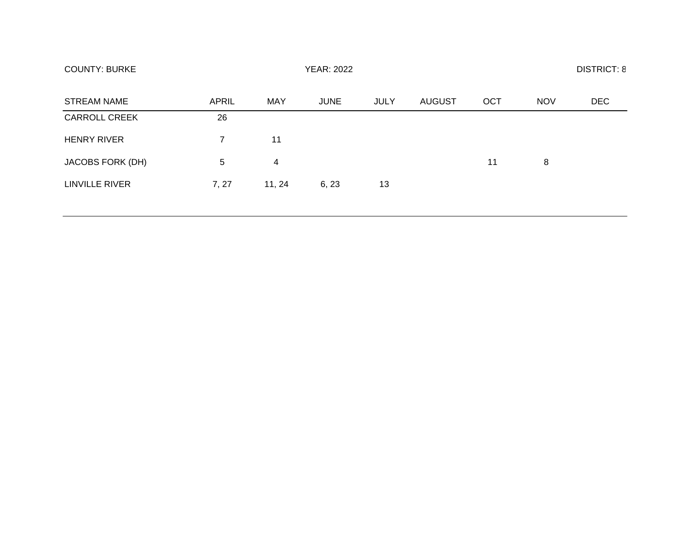| <b>COUNTY: BURKE</b>    | <b>YEAR: 2022</b> |            |             |             |               |     | <b>DISTRICT: 8</b> |            |  |  |
|-------------------------|-------------------|------------|-------------|-------------|---------------|-----|--------------------|------------|--|--|
| <b>STREAM NAME</b>      | <b>APRIL</b>      | <b>MAY</b> | <b>JUNE</b> | <b>JULY</b> | <b>AUGUST</b> | OCT | <b>NOV</b>         | <b>DEC</b> |  |  |
| <b>CARROLL CREEK</b>    | 26                |            |             |             |               |     |                    |            |  |  |
| <b>HENRY RIVER</b>      | 7                 | 11         |             |             |               |     |                    |            |  |  |
| <b>JACOBS FORK (DH)</b> | 5                 | 4          |             |             |               | 11  | 8                  |            |  |  |
| <b>LINVILLE RIVER</b>   | 7, 27             | 11, 24     | 6, 23       | 13          |               |     |                    |            |  |  |
|                         |                   |            |             |             |               |     |                    |            |  |  |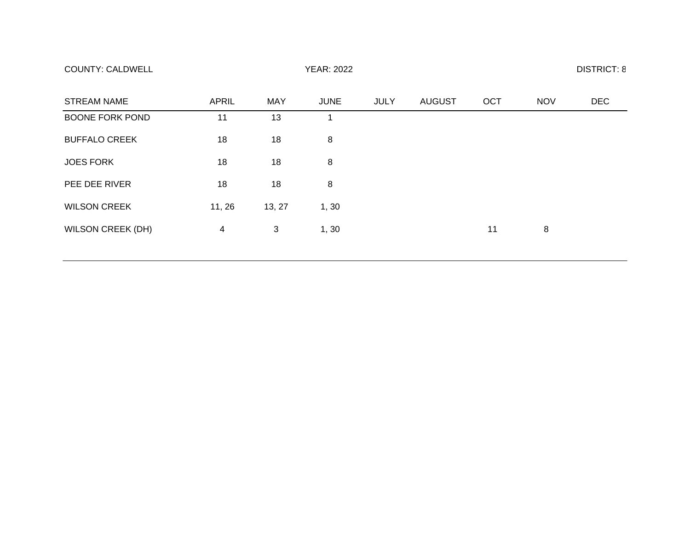| <b>COUNTY: CALDWELL</b> | <b>YEAR: 2022</b> | <b>DISTRICT: 8</b> |
|-------------------------|-------------------|--------------------|
|-------------------------|-------------------|--------------------|

| <b>STREAM NAME</b>       | <b>APRIL</b> | <b>MAY</b> | <b>JUNE</b> | <b>JULY</b> | <b>AUGUST</b> | OCT | <b>NOV</b> | <b>DEC</b> |
|--------------------------|--------------|------------|-------------|-------------|---------------|-----|------------|------------|
| <b>BOONE FORK POND</b>   | 11           | 13         |             |             |               |     |            |            |
| <b>BUFFALO CREEK</b>     | 18           | 18         | 8           |             |               |     |            |            |
| <b>JOES FORK</b>         | 18           | 18         | 8           |             |               |     |            |            |
| PEE DEE RIVER            | 18           | 18         | 8           |             |               |     |            |            |
| <b>WILSON CREEK</b>      | 11, 26       | 13, 27     | 1, 30       |             |               |     |            |            |
| <b>WILSON CREEK (DH)</b> | 4            | 3          | 1, 30       |             |               | 11  | 8          |            |
|                          |              |            |             |             |               |     |            |            |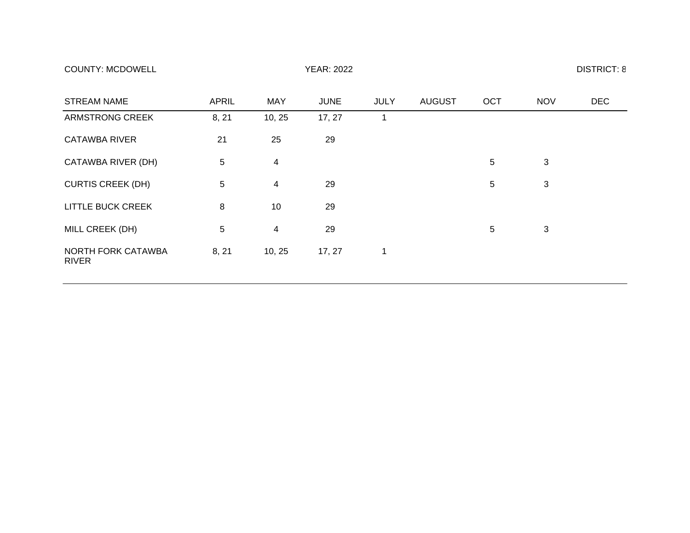| <b>COUNTY: MCDOWELL</b> | <b>YEAR: 2022</b> | <b>DISTRICT: 8</b> |
|-------------------------|-------------------|--------------------|
|-------------------------|-------------------|--------------------|

| <b>STREAM NAME</b>                        | <b>APRIL</b> | <b>MAY</b>     | <b>JUNE</b> | <b>JULY</b> | <b>AUGUST</b> | OCT             | <b>NOV</b> | <b>DEC</b> |
|-------------------------------------------|--------------|----------------|-------------|-------------|---------------|-----------------|------------|------------|
| <b>ARMSTRONG CREEK</b>                    | 8, 21        | 10, 25         | 17, 27      | 1           |               |                 |            |            |
| <b>CATAWBA RIVER</b>                      | 21           | 25             | 29          |             |               |                 |            |            |
| CATAWBA RIVER (DH)                        | 5            | $\overline{4}$ |             |             |               | 5               | 3          |            |
| <b>CURTIS CREEK (DH)</b>                  | 5            | $\overline{4}$ | 29          |             |               | 5               | 3          |            |
| <b>LITTLE BUCK CREEK</b>                  | 8            | 10             | 29          |             |               |                 |            |            |
| MILL CREEK (DH)                           | 5            | $\overline{4}$ | 29          |             |               | $5\phantom{.0}$ | 3          |            |
| <b>NORTH FORK CATAWBA</b><br><b>RIVER</b> | 8, 21        | 10, 25         | 17, 27      | 1           |               |                 |            |            |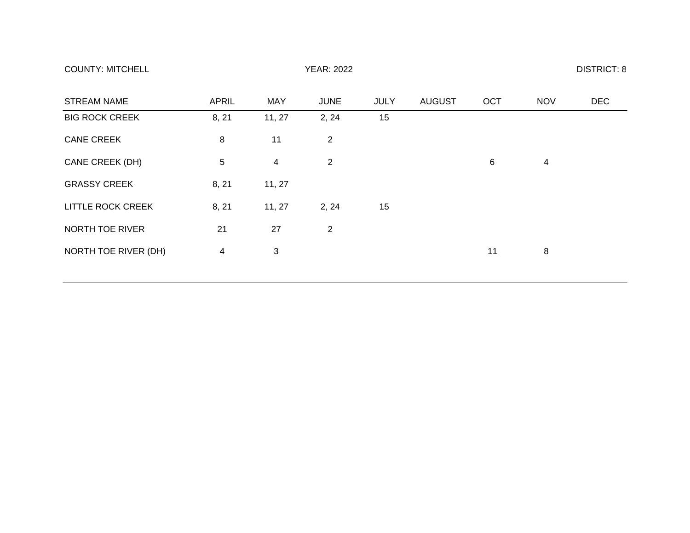| <b>COUNTY: MITCHELL</b> | <b>YEAR: 2022</b> | <b>DISTRICT: 8</b> |
|-------------------------|-------------------|--------------------|
|-------------------------|-------------------|--------------------|

| <b>STREAM NAME</b>    | <b>APRIL</b> | <b>MAY</b>     | <b>JUNE</b>    | <b>JULY</b> | <b>AUGUST</b> | OCT | <b>NOV</b> | <b>DEC</b> |
|-----------------------|--------------|----------------|----------------|-------------|---------------|-----|------------|------------|
| <b>BIG ROCK CREEK</b> | 8, 21        | 11, 27         | 2, 24          | 15          |               |     |            |            |
| <b>CANE CREEK</b>     | 8            | 11             | $\overline{2}$ |             |               |     |            |            |
| CANE CREEK (DH)       | 5            | $\overline{4}$ | $\overline{2}$ |             |               | 6   | 4          |            |
| <b>GRASSY CREEK</b>   | 8, 21        | 11, 27         |                |             |               |     |            |            |
| LITTLE ROCK CREEK     | 8, 21        | 11, 27         | 2, 24          | 15          |               |     |            |            |
| NORTH TOE RIVER       | 21           | 27             | $\overline{2}$ |             |               |     |            |            |
| NORTH TOE RIVER (DH)  | 4            | 3              |                |             |               | 11  | 8          |            |
|                       |              |                |                |             |               |     |            |            |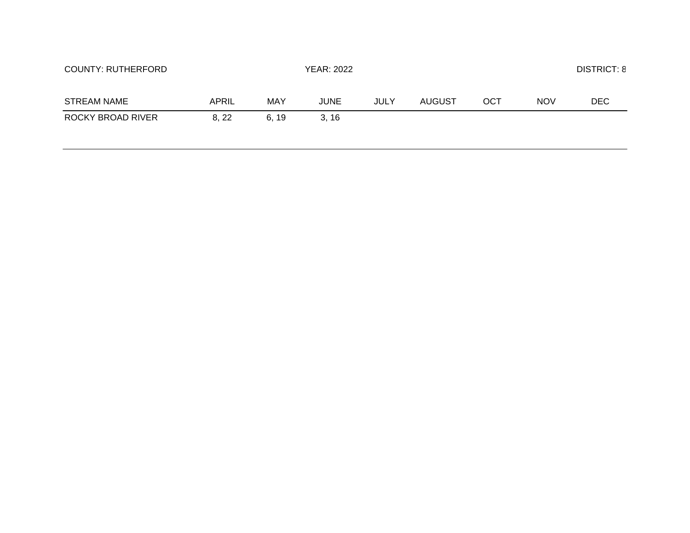| <b>COUNTY: RUTHERFORD</b> |       |      | YEAR: 2022  |             |        |     |            | <b>DISTRICT: 8</b> |  |
|---------------------------|-------|------|-------------|-------------|--------|-----|------------|--------------------|--|
| <b>STREAM NAME</b>        | APRIL | MAY  | <b>JUNE</b> | <b>JULY</b> | AUGUST | OCT | <b>NOV</b> | <b>DEC</b>         |  |
| ROCKY BROAD RIVER         | 8, 22 | 6.19 | 3.16        |             |        |     |            |                    |  |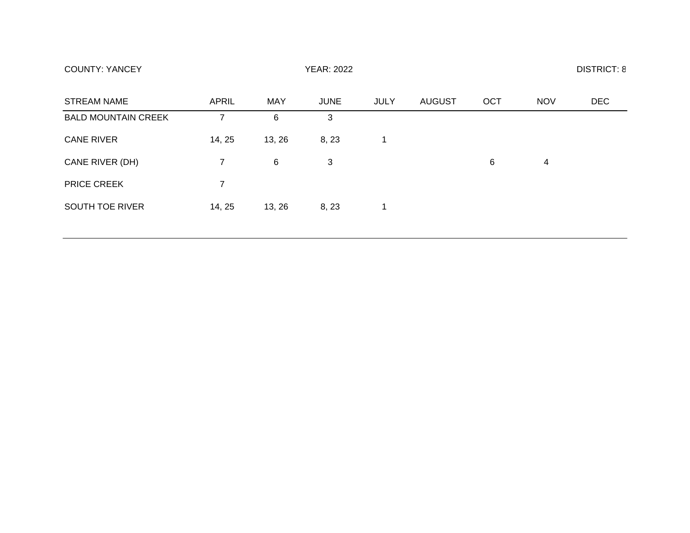| <b>COUNTY: YANCEY</b>      |                |        |             | <b>DISTRICT: 8</b> |        |            |            |     |
|----------------------------|----------------|--------|-------------|--------------------|--------|------------|------------|-----|
| <b>STREAM NAME</b>         | APRIL          | MAY    | <b>JUNE</b> | JULY               | AUGUST | <b>OCT</b> | <b>NOV</b> | DEC |
| <b>BALD MOUNTAIN CREEK</b> |                | 6      | 3           |                    |        |            |            |     |
| <b>CANE RIVER</b>          | 14, 25         | 13, 26 | 8, 23       | 1                  |        |            |            |     |
| CANE RIVER (DH)            | 7              | 6      | 3           |                    |        | 6          | 4          |     |
| <b>PRICE CREEK</b>         | $\overline{7}$ |        |             |                    |        |            |            |     |
| SOUTH TOE RIVER            | 14, 25         | 13, 26 | 8, 23       | 1                  |        |            |            |     |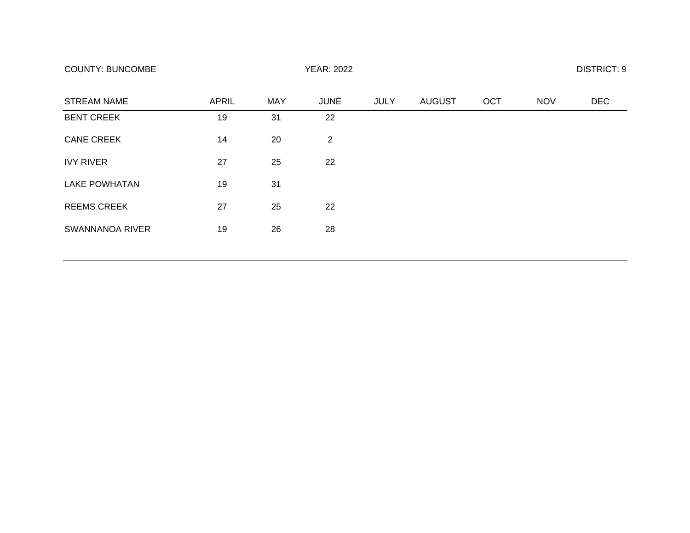| <b>STREAM NAME</b>     | <b>APRIL</b> | <b>MAY</b> | <b>JUNE</b>    | <b>JULY</b> | <b>AUGUST</b> | OCT | <b>NOV</b> | <b>DEC</b> |
|------------------------|--------------|------------|----------------|-------------|---------------|-----|------------|------------|
| <b>BENT CREEK</b>      | 19           | 31         | 22             |             |               |     |            |            |
| <b>CANE CREEK</b>      | 14           | 20         | $\overline{2}$ |             |               |     |            |            |
| <b>IVY RIVER</b>       | 27           | 25         | 22             |             |               |     |            |            |
| <b>LAKE POWHATAN</b>   | 19           | 31         |                |             |               |     |            |            |
| <b>REEMS CREEK</b>     | 27           | 25         | 22             |             |               |     |            |            |
| <b>SWANNANOA RIVER</b> | 19           | 26         | 28             |             |               |     |            |            |
|                        |              |            |                |             |               |     |            |            |

## COUNTY: BUNCOMBE YEAR: 2022 DISTRICT: 9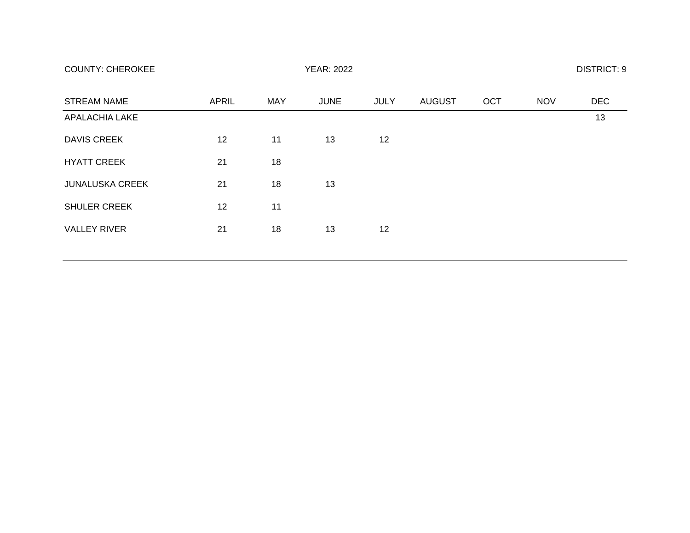| <b>COUNTY: CHEROKEE</b> | <b>YEAR: 2022</b> | <b>DISTRICT: 9</b> |
|-------------------------|-------------------|--------------------|
|-------------------------|-------------------|--------------------|

| <b>STREAM NAME</b>     | <b>APRIL</b> | <b>MAY</b> | <b>JUNE</b> | <b>JULY</b> | <b>AUGUST</b> | <b>OCT</b> | <b>NOV</b> | <b>DEC</b> |
|------------------------|--------------|------------|-------------|-------------|---------------|------------|------------|------------|
| <b>APALACHIA LAKE</b>  |              |            |             |             |               |            |            | 13         |
| <b>DAVIS CREEK</b>     | 12           | 11         | 13          | 12          |               |            |            |            |
| <b>HYATT CREEK</b>     | 21           | 18         |             |             |               |            |            |            |
| <b>JUNALUSKA CREEK</b> | 21           | 18         | 13          |             |               |            |            |            |
| <b>SHULER CREEK</b>    | 12           | 11         |             |             |               |            |            |            |
| <b>VALLEY RIVER</b>    | 21           | 18         | 13          | 12          |               |            |            |            |
|                        |              |            |             |             |               |            |            |            |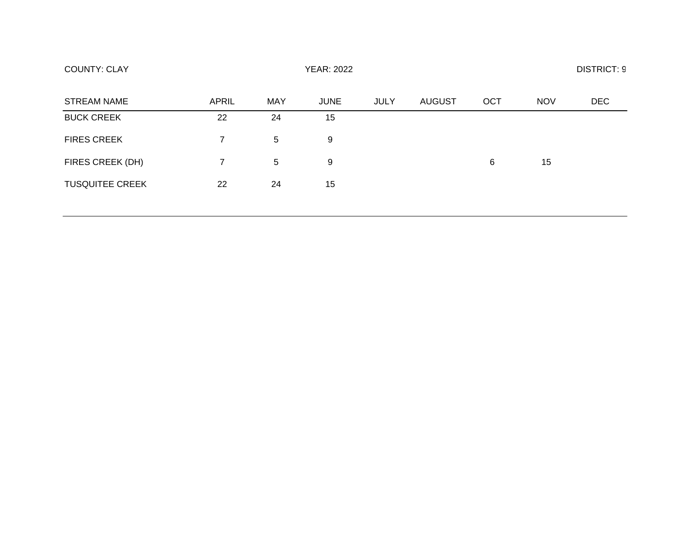| <b>COUNTY: CLAY</b>    | <b>YEAR: 2022</b> |            |             |             |               |     | <b>DISTRICT: 9</b> |            |  |
|------------------------|-------------------|------------|-------------|-------------|---------------|-----|--------------------|------------|--|
| <b>STREAM NAME</b>     | <b>APRIL</b>      | <b>MAY</b> | <b>JUNE</b> | <b>JULY</b> | <b>AUGUST</b> | OCT | <b>NOV</b>         | <b>DEC</b> |  |
| <b>BUCK CREEK</b>      | 22                | 24         | 15          |             |               |     |                    |            |  |
| <b>FIRES CREEK</b>     | $\overline{7}$    | 5          | 9           |             |               |     |                    |            |  |
| FIRES CREEK (DH)       | 7.                | 5          | 9           |             |               | 6   | 15                 |            |  |
| <b>TUSQUITEE CREEK</b> | 22                | 24         | 15          |             |               |     |                    |            |  |
|                        |                   |            |             |             |               |     |                    |            |  |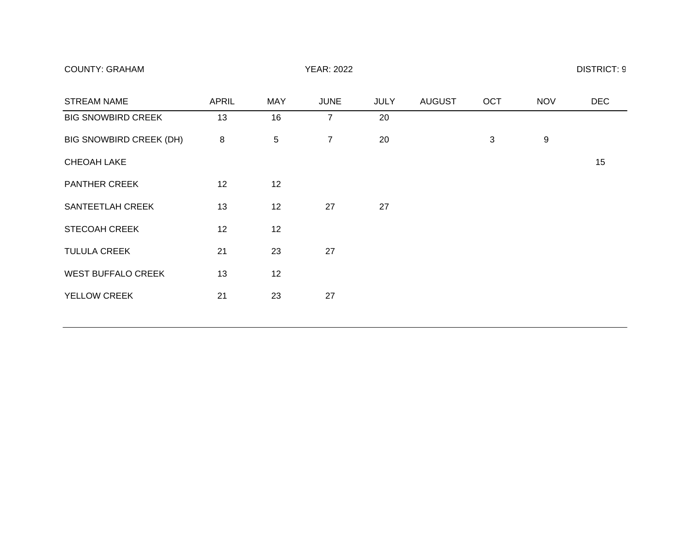| <b>COUNTY: GRAHAM</b> | <b>YEAR: 2022</b> | <b>DISTRICT: 9</b> |
|-----------------------|-------------------|--------------------|
|-----------------------|-------------------|--------------------|

| <b>STREAM NAME</b>             | <b>APRIL</b> | <b>MAY</b> | <b>JUNE</b>    | <b>JULY</b> | <b>AUGUST</b> | OCT          | <b>NOV</b> | <b>DEC</b> |
|--------------------------------|--------------|------------|----------------|-------------|---------------|--------------|------------|------------|
| <b>BIG SNOWBIRD CREEK</b>      | 13           | 16         | $\overline{7}$ | 20          |               |              |            |            |
| <b>BIG SNOWBIRD CREEK (DH)</b> | 8            | $\sqrt{5}$ | $\overline{7}$ | 20          |               | $\mathbf{3}$ | 9          |            |
| <b>CHEOAH LAKE</b>             |              |            |                |             |               |              |            | 15         |
| <b>PANTHER CREEK</b>           | 12           | 12         |                |             |               |              |            |            |
| SANTEETLAH CREEK               | 13           | 12         | 27             | 27          |               |              |            |            |
| <b>STECOAH CREEK</b>           | 12           | 12         |                |             |               |              |            |            |
| <b>TULULA CREEK</b>            | 21           | 23         | 27             |             |               |              |            |            |
| <b>WEST BUFFALO CREEK</b>      | 13           | 12         |                |             |               |              |            |            |
| YELLOW CREEK                   | 21           | 23         | 27             |             |               |              |            |            |
|                                |              |            |                |             |               |              |            |            |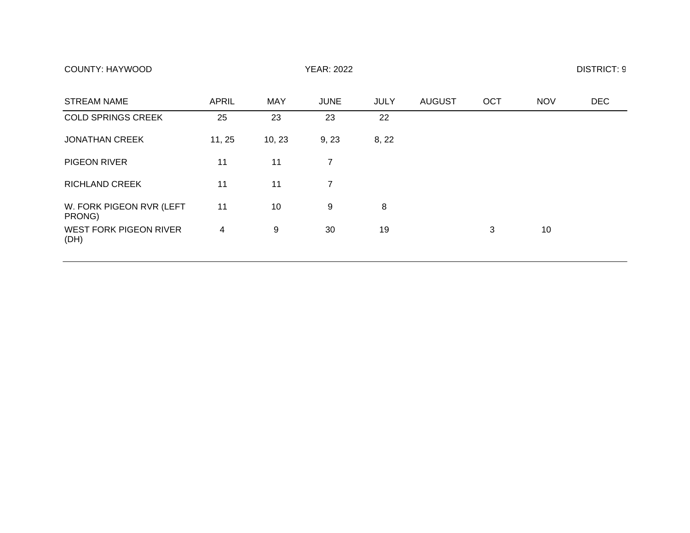## COUNTY: HAYWOOD COUNTY: HAYWOOD YEAR: 2022

| <b>STREAM NAME</b>                    | <b>APRIL</b> | <b>MAY</b> | <b>JUNE</b>    | <b>JULY</b> | <b>AUGUST</b> | <b>OCT</b> | <b>NOV</b> | <b>DEC</b> |
|---------------------------------------|--------------|------------|----------------|-------------|---------------|------------|------------|------------|
| <b>COLD SPRINGS CREEK</b>             | 25           | 23         | 23             | 22          |               |            |            |            |
| <b>JONATHAN CREEK</b>                 | 11, 25       | 10, 23     | 9, 23          | 8, 22       |               |            |            |            |
| <b>PIGEON RIVER</b>                   | 11           | 11         | 7              |             |               |            |            |            |
| <b>RICHLAND CREEK</b>                 | 11           | 11         | $\overline{7}$ |             |               |            |            |            |
| W. FORK PIGEON RVR (LEFT<br>PRONG)    | 11           | 10         | 9              | 8           |               |            |            |            |
| <b>WEST FORK PIGEON RIVER</b><br>(DH) | 4            | 9          | 30             | 19          |               | 3          | 10         |            |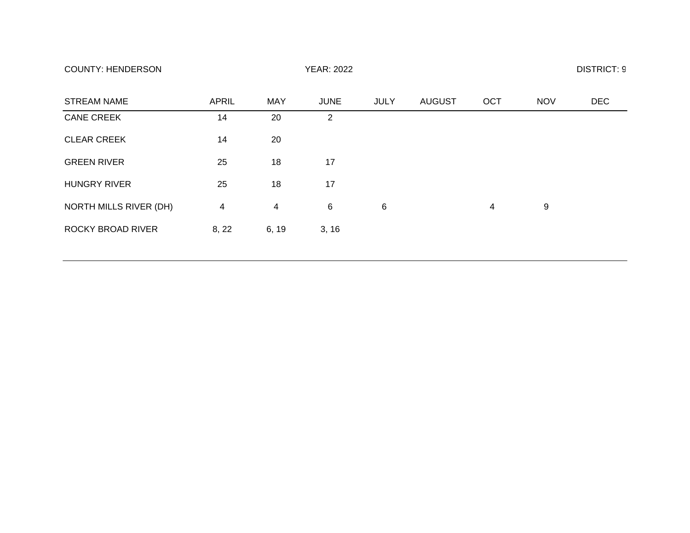| <b>STREAM NAME</b>       | <b>APRIL</b> | <b>MAY</b>     | <b>JUNE</b> | <b>JULY</b> | <b>AUGUST</b> | OCT            | <b>NOV</b> | <b>DEC</b> |
|--------------------------|--------------|----------------|-------------|-------------|---------------|----------------|------------|------------|
| <b>CANE CREEK</b>        | 14           | 20             | 2           |             |               |                |            |            |
| <b>CLEAR CREEK</b>       | 14           | 20             |             |             |               |                |            |            |
| <b>GREEN RIVER</b>       | 25           | 18             | 17          |             |               |                |            |            |
| <b>HUNGRY RIVER</b>      | 25           | 18             | 17          |             |               |                |            |            |
| NORTH MILLS RIVER (DH)   | 4            | $\overline{4}$ | 6           | 6           |               | $\overline{4}$ | 9          |            |
| <b>ROCKY BROAD RIVER</b> | 8, 22        | 6, 19          | 3, 16       |             |               |                |            |            |
|                          |              |                |             |             |               |                |            |            |

COUNTY: HENDERSON YEAR: 2022 DISTRICT: 9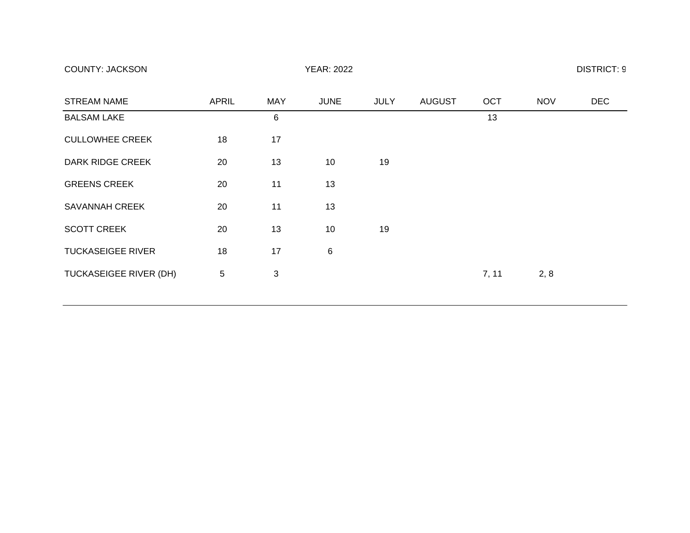COUNTY: JACKSON YEAR: 2022 DISTRICT: 9

| <b>STREAM NAME</b>            | <b>APRIL</b> | <b>MAY</b> | <b>JUNE</b> | <b>JULY</b> | <b>AUGUST</b> | OCT   | <b>NOV</b> | <b>DEC</b> |
|-------------------------------|--------------|------------|-------------|-------------|---------------|-------|------------|------------|
| <b>BALSAM LAKE</b>            |              | 6          |             |             |               | 13    |            |            |
| <b>CULLOWHEE CREEK</b>        | 18           | 17         |             |             |               |       |            |            |
| <b>DARK RIDGE CREEK</b>       | 20           | 13         | 10          | 19          |               |       |            |            |
| <b>GREENS CREEK</b>           | 20           | 11         | 13          |             |               |       |            |            |
| <b>SAVANNAH CREEK</b>         | 20           | 11         | 13          |             |               |       |            |            |
| <b>SCOTT CREEK</b>            | 20           | 13         | 10          | 19          |               |       |            |            |
| <b>TUCKASEIGEE RIVER</b>      | 18           | 17         | 6           |             |               |       |            |            |
| <b>TUCKASEIGEE RIVER (DH)</b> | 5            | 3          |             |             |               | 7, 11 | 2, 8       |            |
|                               |              |            |             |             |               |       |            |            |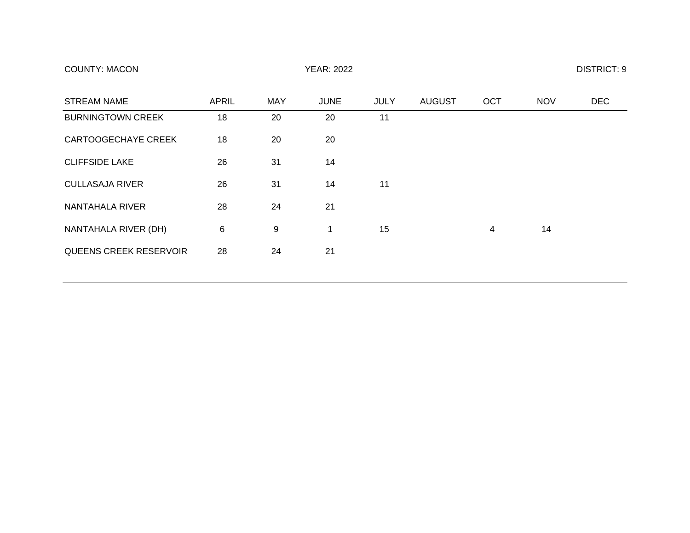| <b>COUNTY: MACON</b> | <b>YEAR: 2022</b> | <b>DISTRICT: 9</b> |
|----------------------|-------------------|--------------------|
|----------------------|-------------------|--------------------|

| <b>STREAM NAME</b>            | <b>APRIL</b> | <b>MAY</b> | <b>JUNE</b> | <b>JULY</b> | <b>AUGUST</b> | <b>OCT</b> | <b>NOV</b> | <b>DEC</b> |
|-------------------------------|--------------|------------|-------------|-------------|---------------|------------|------------|------------|
| <b>BURNINGTOWN CREEK</b>      | 18           | 20         | 20          | 11          |               |            |            |            |
| <b>CARTOOGECHAYE CREEK</b>    | 18           | 20         | 20          |             |               |            |            |            |
| <b>CLIFFSIDE LAKE</b>         | 26           | 31         | 14          |             |               |            |            |            |
| <b>CULLASAJA RIVER</b>        | 26           | 31         | 14          | 11          |               |            |            |            |
| NANTAHALA RIVER               | 28           | 24         | 21          |             |               |            |            |            |
| NANTAHALA RIVER (DH)          | 6            | 9          |             | 15          |               | 4          | 14         |            |
| <b>QUEENS CREEK RESERVOIR</b> | 28           | 24         | 21          |             |               |            |            |            |
|                               |              |            |             |             |               |            |            |            |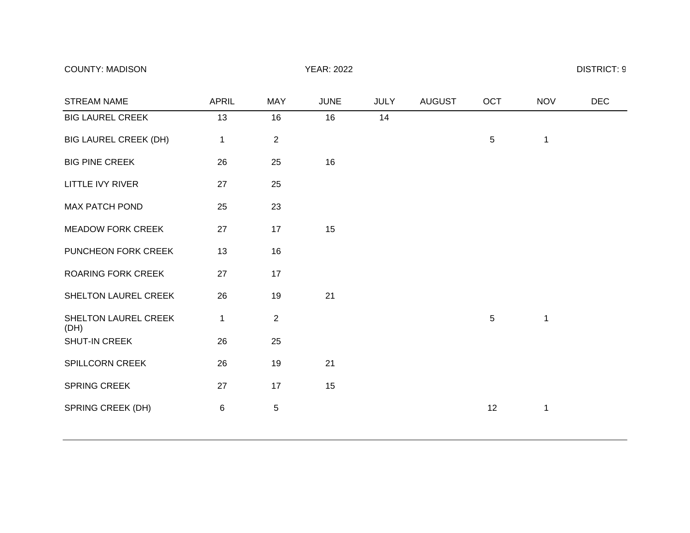## COUNTY: MADISON YEAR: 2022 DISTRICT: 9

| <b>STREAM NAME</b>           | <b>APRIL</b> | <b>MAY</b>     | <b>JUNE</b> | <b>JULY</b> | <b>AUGUST</b> | OCT             | <b>NOV</b>   | <b>DEC</b> |
|------------------------------|--------------|----------------|-------------|-------------|---------------|-----------------|--------------|------------|
| <b>BIG LAUREL CREEK</b>      | 13           | 16             | 16          | 14          |               |                 |              |            |
| <b>BIG LAUREL CREEK (DH)</b> | 1            | 2              |             |             |               | $5\phantom{.0}$ | $\mathbf{1}$ |            |
| <b>BIG PINE CREEK</b>        | 26           | 25             | 16          |             |               |                 |              |            |
| <b>LITTLE IVY RIVER</b>      | 27           | 25             |             |             |               |                 |              |            |
| <b>MAX PATCH POND</b>        | 25           | 23             |             |             |               |                 |              |            |
| <b>MEADOW FORK CREEK</b>     | 27           | 17             | 15          |             |               |                 |              |            |
| PUNCHEON FORK CREEK          | 13           | 16             |             |             |               |                 |              |            |
| <b>ROARING FORK CREEK</b>    | 27           | 17             |             |             |               |                 |              |            |
| SHELTON LAUREL CREEK         | 26           | 19             | 21          |             |               |                 |              |            |
| SHELTON LAUREL CREEK<br>(DH) | 1            | $\overline{2}$ |             |             |               | $5\phantom{.0}$ | $\mathbf 1$  |            |
| SHUT-IN CREEK                | 26           | 25             |             |             |               |                 |              |            |
| SPILLCORN CREEK              | 26           | 19             | 21          |             |               |                 |              |            |
| <b>SPRING CREEK</b>          | 27           | 17             | 15          |             |               |                 |              |            |
| SPRING CREEK (DH)            | 6            | 5              |             |             |               | 12              | 1            |            |
|                              |              |                |             |             |               |                 |              |            |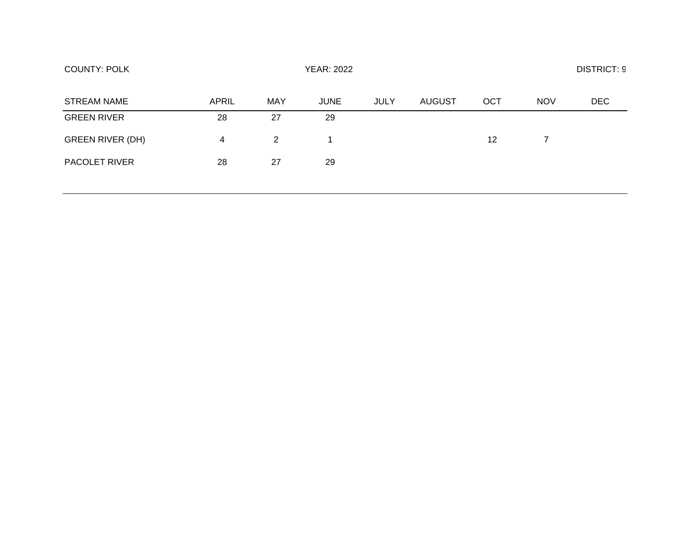| <b>COUNTY: POLK</b>     |       |                |             |             | <b>DISTRICT: 9</b> |     |            |            |
|-------------------------|-------|----------------|-------------|-------------|--------------------|-----|------------|------------|
| <b>STREAM NAME</b>      | APRIL | MAY            | <b>JUNE</b> | <b>JULY</b> | <b>AUGUST</b>      | OCT | <b>NOV</b> | <b>DEC</b> |
| <b>GREEN RIVER</b>      | 28    | 27             | 29          |             |                    |     |            |            |
| <b>GREEN RIVER (DH)</b> | 4     | $\overline{2}$ | 1           |             |                    | 12  | 7          |            |
| <b>PACOLET RIVER</b>    | 28    | 27             | 29          |             |                    |     |            |            |
|                         |       |                |             |             |                    |     |            |            |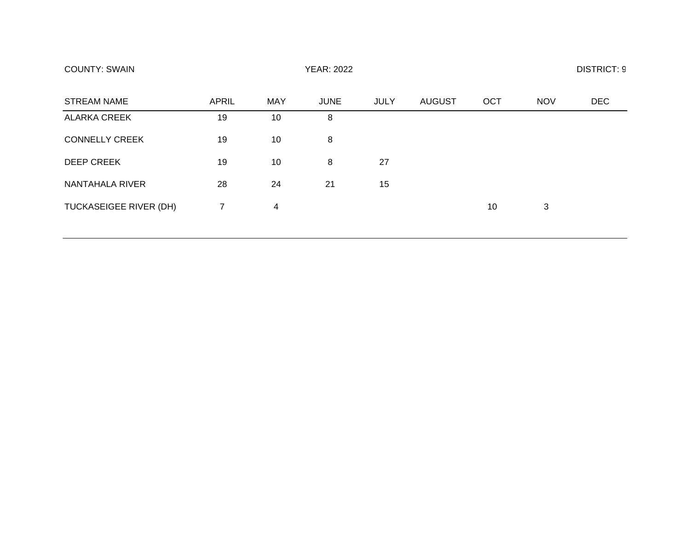| <b>STREAM NAME</b>            | <b>APRIL</b>   | <b>MAY</b> | <b>JUNE</b> | <b>JULY</b> | <b>AUGUST</b> | OCT | <b>NOV</b> | <b>DEC</b> |
|-------------------------------|----------------|------------|-------------|-------------|---------------|-----|------------|------------|
| <b>ALARKA CREEK</b>           | 19             | 10         | 8           |             |               |     |            |            |
| <b>CONNELLY CREEK</b>         | 19             | 10         | 8           |             |               |     |            |            |
| <b>DEEP CREEK</b>             | 19             | 10         | 8           | 27          |               |     |            |            |
| NANTAHALA RIVER               | 28             | 24         | 21          | 15          |               |     |            |            |
| <b>TUCKASEIGEE RIVER (DH)</b> | $\overline{7}$ | 4          |             |             |               | 10  | 3          |            |

COUNTY: SWAIN YEAR: 2022 DISTRICT: 9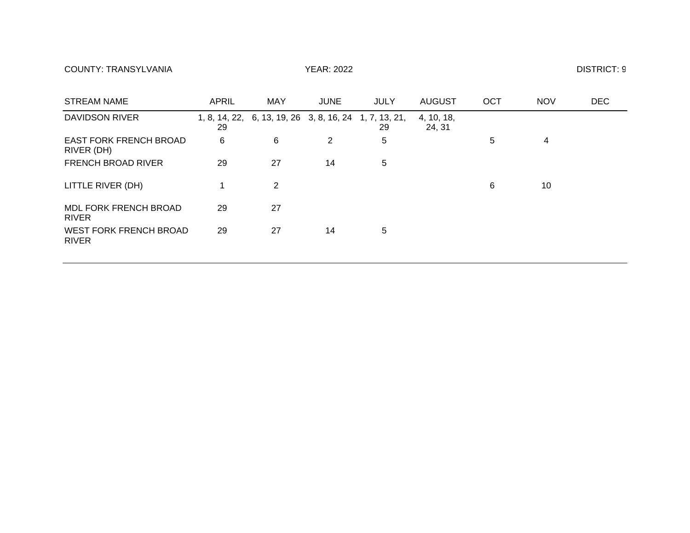COUNTY: TRANSYLVANIA THE STATE OF THE YEAR: 2022 THE STATE OF THE STATE OF THE DISTRICT: 9

| <b>STREAM NAME</b>                            | <b>APRIL</b> | <b>MAY</b>                                             | <b>JUNE</b> | <b>JULY</b> | <b>AUGUST</b>        | <b>OCT</b> | <b>NOV</b> | <b>DEC</b> |
|-----------------------------------------------|--------------|--------------------------------------------------------|-------------|-------------|----------------------|------------|------------|------------|
| DAVIDSON RIVER                                | 29           | 1, 8, 14, 22, 6, 13, 19, 26 3, 8, 16, 24 1, 7, 13, 21, |             | 29          | 4, 10, 18,<br>24, 31 |            |            |            |
| <b>EAST FORK FRENCH BROAD</b><br>RIVER (DH)   | 6            | 6                                                      | 2           | 5           |                      | 5          | 4          |            |
| <b>FRENCH BROAD RIVER</b>                     | 29           | 27                                                     | 14          | 5           |                      |            |            |            |
| LITTLE RIVER (DH)                             |              | 2                                                      |             |             |                      | 6          | 10         |            |
| MDL FORK FRENCH BROAD<br><b>RIVER</b>         | 29           | 27                                                     |             |             |                      |            |            |            |
| <b>WEST FORK FRENCH BROAD</b><br><b>RIVER</b> | 29           | 27                                                     | 14          | 5           |                      |            |            |            |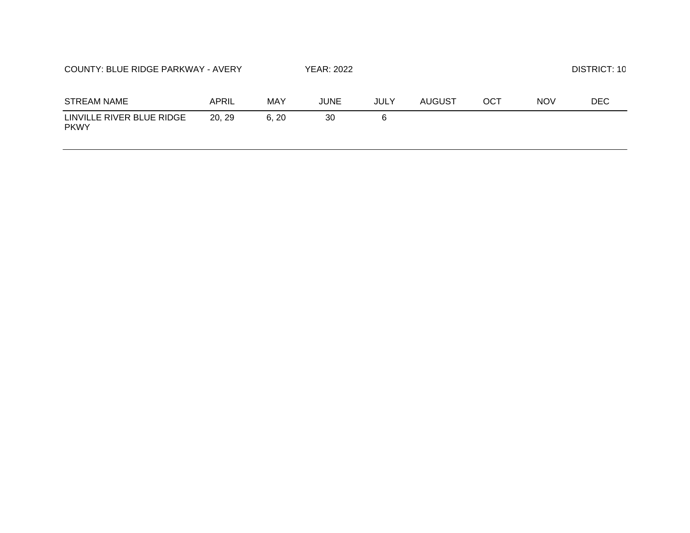| COUNTY: BLUE RIDGE PARKWAY - AVERY       |        |      | <b>YEAR: 2022</b> |      |        |     |            | DISTRICT: 10 |
|------------------------------------------|--------|------|-------------------|------|--------|-----|------------|--------------|
| <b>STREAM NAME</b>                       | APRIL  | MAY  | JUNE              | JULY | AUGUST | ОСТ | <b>NOV</b> | DEC.         |
| LINVILLE RIVER BLUE RIDGE<br><b>PKWY</b> | 20, 29 | 6.20 | 30                | 6    |        |     |            |              |